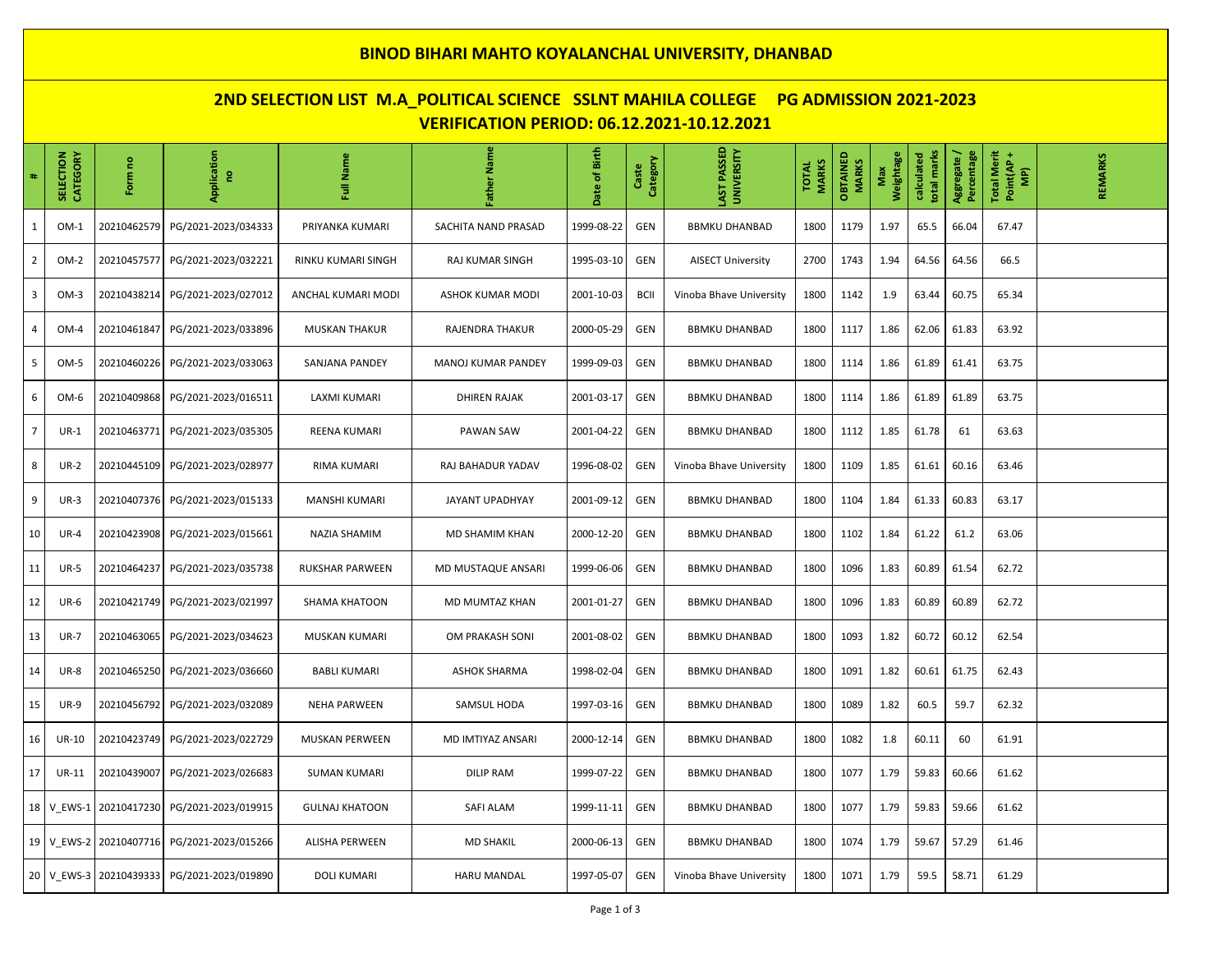## **BINOD BIHARI MAHTO KOYALANCHAL UNIVERSITY, DHANBAD**

# **2ND SELECTION LIST M.A\_POLITICAL SCIENCE SSLNT MAHILA COLLEGE PG ADMISSION 2021-2023 VERIFICATION PERIOD: 06.12.2021-10.12.2021**

| #              | <b>SELECTION</b><br>CATEGORY | ဥ<br>Form              | Application<br>g    | Full Name              | Father Name         | Date of Birth | Category<br>Caste | LAST PASSED<br>UNIVERSITY | <b>MARKS</b><br><b>TOTAL</b> | OBTAINED<br><b>MARKS</b> | Weightage<br>Max | total marks<br>calculated | Aggregate/<br>Percentage | <b>Total Merit</b><br>Point(AP +<br>MP) | <b>REMARKS</b> |
|----------------|------------------------------|------------------------|---------------------|------------------------|---------------------|---------------|-------------------|---------------------------|------------------------------|--------------------------|------------------|---------------------------|--------------------------|-----------------------------------------|----------------|
| $\mathbf{1}$   | $OM-1$                       | 20210462579            | PG/2021-2023/034333 | PRIYANKA KUMARI        | SACHITA NAND PRASAD | 1999-08-22    | GEN               | <b>BBMKU DHANBAD</b>      | 1800                         | 1179                     | 1.97             | 65.5                      | 66.04                    | 67.47                                   |                |
| $\overline{2}$ | OM-2                         | 20210457577            | PG/2021-2023/032221 | RINKU KUMARI SINGH     | RAJ KUMAR SINGH     | 1995-03-10    | GEN               | <b>AISECT University</b>  | 2700                         | 1743                     | 1.94             | 64.56                     | 64.56                    | 66.5                                    |                |
| 3              | $OM-3$                       | 20210438214            | PG/2021-2023/027012 | ANCHAL KUMARI MODI     | ASHOK KUMAR MODI    | 2001-10-03    | <b>BCII</b>       | Vinoba Bhave University   | 1800                         | 1142                     | 1.9              | 63.44                     | 60.75                    | 65.34                                   |                |
| 4              | OM-4                         | 20210461847            | PG/2021-2023/033896 | <b>MUSKAN THAKUR</b>   | RAJENDRA THAKUR     | 2000-05-29    | GEN               | <b>BBMKU DHANBAD</b>      | 1800                         | 1117                     | 1.86             | 62.06                     | 61.83                    | 63.92                                   |                |
| 5              | OM-5                         | 20210460226            | PG/2021-2023/033063 | SANJANA PANDEY         | MANOJ KUMAR PANDEY  | 1999-09-03    | GEN               | <b>BBMKU DHANBAD</b>      | 1800                         | 1114                     | 1.86             | 61.89                     | 61.41                    | 63.75                                   |                |
| 6              | OM-6                         | 20210409868            | PG/2021-2023/016511 | LAXMI KUMARI           | <b>DHIREN RAJAK</b> | 2001-03-17    | GEN               | <b>BBMKU DHANBAD</b>      | 1800                         | 1114                     | 1.86             | 61.89                     | 61.89                    | 63.75                                   |                |
| $\overline{7}$ | $UR-1$                       | 20210463771            | PG/2021-2023/035305 | REENA KUMARI           | PAWAN SAW           | 2001-04-22    | GEN               | <b>BBMKU DHANBAD</b>      | 1800                         | 1112                     | 1.85             | 61.78                     | 61                       | 63.63                                   |                |
| 8              | <b>UR-2</b>                  | 20210445109            | PG/2021-2023/028977 | RIMA KUMARI            | RAJ BAHADUR YADAV   | 1996-08-02    | GEN               | Vinoba Bhave University   | 1800                         | 1109                     | 1.85             | 61.61                     | 60.16                    | 63.46                                   |                |
| 9              | $UR-3$                       | 20210407376            | PG/2021-2023/015133 | <b>MANSHI KUMARI</b>   | JAYANT UPADHYAY     | 2001-09-12    | GEN               | <b>BBMKU DHANBAD</b>      | 1800                         | 1104                     | 1.84             | 61.33                     | 60.83                    | 63.17                                   |                |
| 10             | <b>UR-4</b>                  | 20210423908            | PG/2021-2023/015661 | <b>NAZIA SHAMIM</b>    | MD SHAMIM KHAN      | 2000-12-20    | GEN               | <b>BBMKU DHANBAD</b>      | 1800                         | 1102                     | 1.84             | 61.22                     | 61.2                     | 63.06                                   |                |
| 11             | <b>UR-5</b>                  | 20210464237            | PG/2021-2023/035738 | <b>RUKSHAR PARWEEN</b> | MD MUSTAQUE ANSARI  | 1999-06-06    | GEN               | <b>BBMKU DHANBAD</b>      | 1800                         | 1096                     | 1.83             | 60.89                     | 61.54                    | 62.72                                   |                |
| 12             | <b>UR-6</b>                  | 20210421749            | PG/2021-2023/021997 | <b>SHAMA KHATOON</b>   | MD MUMTAZ KHAN      | 2001-01-27    | GEN               | <b>BBMKU DHANBAD</b>      | 1800                         | 1096                     | 1.83             | 60.89                     | 60.89                    | 62.72                                   |                |
| 13             | <b>UR-7</b>                  | 20210463065            | PG/2021-2023/034623 | <b>MUSKAN KUMARI</b>   | OM PRAKASH SONI     | 2001-08-02    | GEN               | <b>BBMKU DHANBAD</b>      | 1800                         | 1093                     | 1.82             | 60.72                     | 60.12                    | 62.54                                   |                |
| 14             | <b>UR-8</b>                  | 20210465250            | PG/2021-2023/036660 | <b>BABLI KUMARI</b>    | <b>ASHOK SHARMA</b> | 1998-02-04    | GEN               | <b>BBMKU DHANBAD</b>      | 1800                         | 1091                     | 1.82             | 60.61                     | 61.75                    | 62.43                                   |                |
| 15             | <b>UR-9</b>                  | 20210456792            | PG/2021-2023/032089 | <b>NEHA PARWEEN</b>    | SAMSUL HODA         | 1997-03-16    | GEN               | <b>BBMKU DHANBAD</b>      | 1800                         | 1089                     | 1.82             | 60.5                      | 59.7                     | 62.32                                   |                |
| 16             | <b>UR-10</b>                 | 20210423749            | PG/2021-2023/022729 | MUSKAN PERWEEN         | MD IMTIYAZ ANSARI   | 2000-12-14    | GEN               | <b>BBMKU DHANBAD</b>      | 1800                         | 1082                     | 1.8              | 60.11                     | 60                       | 61.91                                   |                |
| 17             | UR-11                        | 20210439007            | PG/2021-2023/026683 | <b>SUMAN KUMARI</b>    | <b>DILIP RAM</b>    | 1999-07-22    | GEN               | <b>BBMKU DHANBAD</b>      | 1800                         | 1077                     | 1.79             | 59.83                     | 60.66                    | 61.62                                   |                |
|                | 18 V EWS-1                   | 20210417230            | PG/2021-2023/019915 | <b>GULNAJ KHATOON</b>  | <b>SAFI ALAM</b>    | 1999-11-11    | GEN               | <b>BBMKU DHANBAD</b>      | 1800                         | 1077                     | 1.79             | 59.83                     | 59.66                    | 61.62                                   |                |
|                | 19 V EWS-2                   | 20210407716            | PG/2021-2023/015266 | <b>ALISHA PERWEEN</b>  | <b>MD SHAKIL</b>    | 2000-06-13    | GEN               | <b>BBMKU DHANBAD</b>      | 1800                         | 1074                     | 1.79             | 59.67                     | 57.29                    | 61.46                                   |                |
|                |                              | 20 V EWS-3 20210439333 | PG/2021-2023/019890 | <b>DOLI KUMARI</b>     | <b>HARU MANDAL</b>  | 1997-05-07    | GEN               | Vinoba Bhave University   | 1800                         | 1071                     | 1.79             | 59.5                      | 58.71                    | 61.29                                   |                |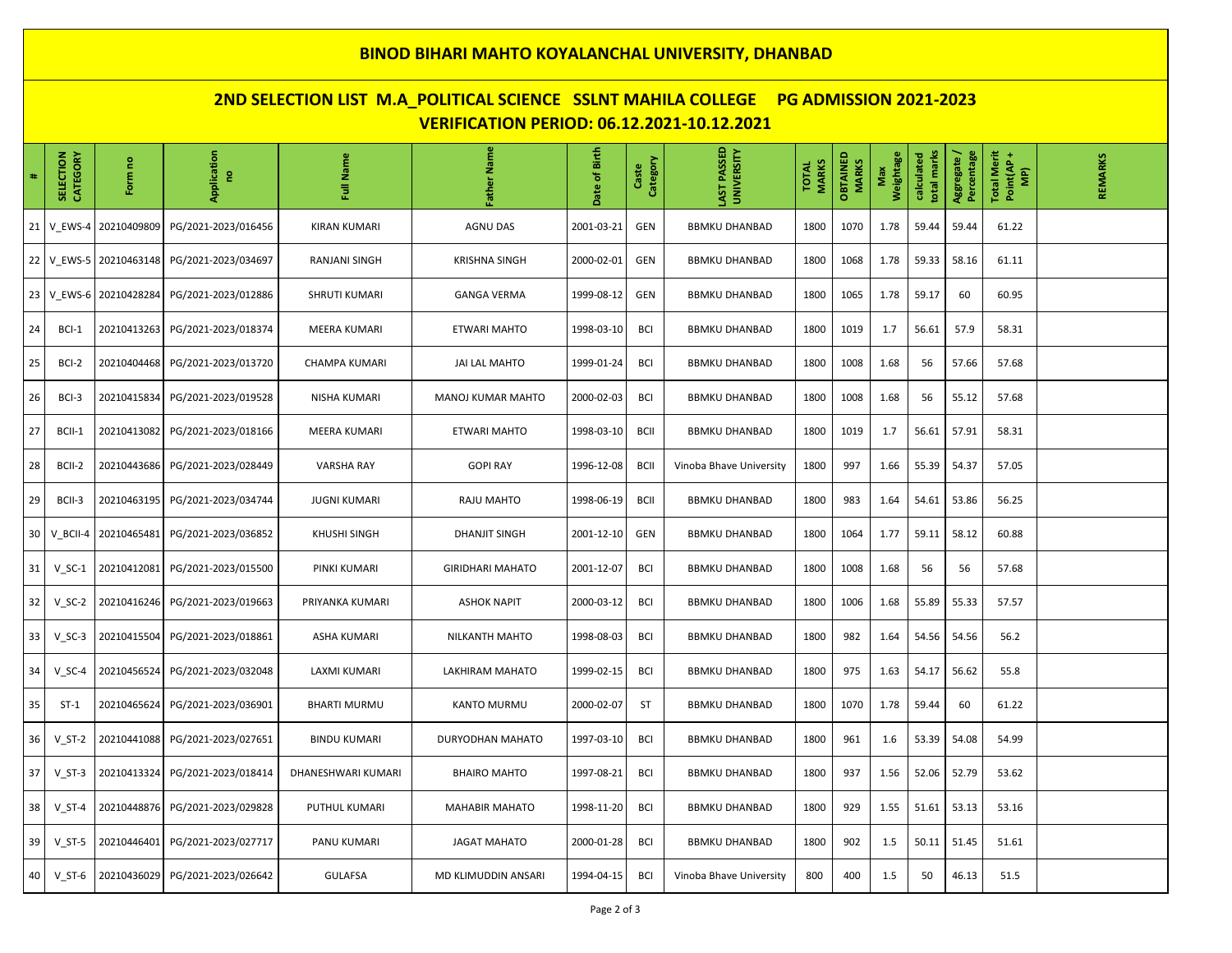## **BINOD BIHARI MAHTO KOYALANCHAL UNIVERSITY, DHANBAD**

# **2ND SELECTION LIST M.A\_POLITICAL SCIENCE SSLNT MAHILA COLLEGE PG ADMISSION 2021-2023 VERIFICATION PERIOD: 06.12.2021-10.12.2021**

| #  | <b>CATEGORY</b><br><b>SELECTION</b> | Form no              | Application<br>g                                 | Full Name            | Father Name              | Date of Birth | Category<br>Caste | LAST PASSED<br>UNIVERSITY | <b>MARKS</b><br><b>TOTAL</b> | OBTAINED<br><b>MARKS</b> | Weightage<br>Max | total marks<br>calculated | Percentage<br>Aggregate / | <b>Total Merit</b><br>Point(AP+<br>$\widehat{\mathbf{P}}$ | <b>REMARKS</b> |
|----|-------------------------------------|----------------------|--------------------------------------------------|----------------------|--------------------------|---------------|-------------------|---------------------------|------------------------------|--------------------------|------------------|---------------------------|---------------------------|-----------------------------------------------------------|----------------|
| 21 | V EWS-4                             | 20210409809          | PG/2021-2023/016456                              | <b>KIRAN KUMARI</b>  | AGNU DAS                 | 2001-03-21    | GEN               | <b>BBMKU DHANBAD</b>      | 1800                         | 1070                     | 1.78             | 59.44                     | 59.44                     | 61.22                                                     |                |
|    |                                     |                      | 22   V_EWS-5   20210463148   PG/2021-2023/034697 | RANJANI SINGH        | <b>KRISHNA SINGH</b>     | 2000-02-01    | GEN               | <b>BBMKU DHANBAD</b>      | 1800                         | 1068                     | 1.78             | 59.33                     | 58.16                     | 61.11                                                     |                |
| 23 |                                     | V_EWS-6 20210428284  | PG/2021-2023/012886                              | <b>SHRUTI KUMARI</b> | <b>GANGA VERMA</b>       | 1999-08-12    | GEN               | <b>BBMKU DHANBAD</b>      | 1800                         | 1065                     | 1.78             | 59.17                     | 60                        | 60.95                                                     |                |
| 24 | BCI-1                               | 20210413263          | PG/2021-2023/018374                              | MEERA KUMARI         | ETWARI MAHTO             | 1998-03-10    | <b>BCI</b>        | <b>BBMKU DHANBAD</b>      | 1800                         | 1019                     | 1.7              | 56.61                     | 57.9                      | 58.31                                                     |                |
| 25 | BCI-2                               | 20210404468          | PG/2021-2023/013720                              | <b>CHAMPA KUMARI</b> | <b>JAI LAL MAHTO</b>     | 1999-01-24    | <b>BCI</b>        | <b>BBMKU DHANBAD</b>      | 1800                         | 1008                     | 1.68             | 56                        | 57.66                     | 57.68                                                     |                |
| 26 | BCI-3                               | 20210415834          | PG/2021-2023/019528                              | NISHA KUMARI         | <b>MANOJ KUMAR MAHTO</b> | 2000-02-03    | <b>BCI</b>        | <b>BBMKU DHANBAD</b>      | 1800                         | 1008                     | 1.68             | 56                        | 55.12                     | 57.68                                                     |                |
| 27 | BCII-1                              | 20210413082          | PG/2021-2023/018166                              | <b>MEERA KUMARI</b>  | <b>ETWARI MAHTO</b>      | 1998-03-10    | <b>BCII</b>       | <b>BBMKU DHANBAD</b>      | 1800                         | 1019                     | 1.7              | 56.61                     | 57.91                     | 58.31                                                     |                |
| 28 | BCII-2                              | 20210443686          | PG/2021-2023/028449                              | <b>VARSHA RAY</b>    | <b>GOPI RAY</b>          | 1996-12-08    | <b>BCII</b>       | Vinoba Bhave University   | 1800                         | 997                      | 1.66             | 55.39                     | 54.37                     | 57.05                                                     |                |
| 29 | BCII-3                              | 20210463195          | PG/2021-2023/034744                              | <b>JUGNI KUMARI</b>  | RAJU MAHTO               | 1998-06-19    | <b>BCII</b>       | <b>BBMKU DHANBAD</b>      | 1800                         | 983                      | 1.64             | 54.61                     | 53.86                     | 56.25                                                     |                |
| 30 |                                     | V BCII-4 20210465481 | PG/2021-2023/036852                              | <b>KHUSHI SINGH</b>  | <b>DHANJIT SINGH</b>     | 2001-12-10    | GEN               | <b>BBMKU DHANBAD</b>      | 1800                         | 1064                     | 1.77             | 59.11                     | 58.12                     | 60.88                                                     |                |
| 31 | $V_S$ C-1                           | 20210412081          | PG/2021-2023/015500                              | PINKI KUMARI         | <b>GIRIDHARI MAHATO</b>  | 2001-12-07    | <b>BCI</b>        | <b>BBMKU DHANBAD</b>      | 1800                         | 1008                     | 1.68             | 56                        | 56                        | 57.68                                                     |                |
| 32 | $V_SC-2$                            |                      |                                                  | PRIYANKA KUMARI      | <b>ASHOK NAPIT</b>       | 2000-03-12    | <b>BCI</b>        | <b>BBMKU DHANBAD</b>      | 1800                         | 1006                     | 1.68             | 55.89                     | 55.33                     | 57.57                                                     |                |
| 33 | $V_SC-3$                            | 20210415504          | PG/2021-2023/018861                              | <b>ASHA KUMARI</b>   | NILKANTH MAHTO           | 1998-08-03    | <b>BCI</b>        | <b>BBMKU DHANBAD</b>      | 1800                         | 982                      | 1.64             | 54.56                     | 54.56                     | 56.2                                                      |                |
| 34 | $V_SC-4$                            | 20210456524          | PG/2021-2023/032048                              | LAXMI KUMARI         | LAKHIRAM MAHATO          | 1999-02-15    | <b>BCI</b>        | <b>BBMKU DHANBAD</b>      | 1800                         | 975                      | 1.63             | 54.17                     | 56.62                     | 55.8                                                      |                |
| 35 | $ST-1$                              | 20210465624          | PG/2021-2023/036901                              | <b>BHARTI MURMU</b>  | KANTO MURMU              | 2000-02-07    | ST                | <b>BBMKU DHANBAD</b>      | 1800                         | 1070                     | 1.78             | 59.44                     | 60                        | 61.22                                                     |                |
| 36 | $V_S$ T-2                           | 20210441088          | PG/2021-2023/027651                              | <b>BINDU KUMARI</b>  | DURYODHAN MAHATO         | 1997-03-10    | <b>BCI</b>        | <b>BBMKU DHANBAD</b>      | 1800                         | 961                      | 1.6              | 53.39                     | 54.08                     | 54.99                                                     |                |
| 37 | $V_S$ T-3                           |                      | 20210413324 PG/2021-2023/018414                  | DHANESHWARI KUMARI   | <b>BHAIRO MAHTO</b>      | 1997-08-21    | <b>BCI</b>        | <b>BBMKU DHANBAD</b>      | 1800                         | 937                      | 1.56             | 52.06                     | 52.79                     | 53.62                                                     |                |
| 38 | $V$ ST-4                            | 20210448876          | PG/2021-2023/029828                              | PUTHUL KUMARI        | <b>MAHABIR MAHATO</b>    | 1998-11-20    | <b>BCI</b>        | <b>BBMKU DHANBAD</b>      | 1800                         | 929                      | 1.55             | 51.61                     | 53.13                     | 53.16                                                     |                |
| 39 | $V_S$ T-5                           | 20210446401          | PG/2021-2023/027717                              | PANU KUMARI          | <b>JAGAT MAHATO</b>      | 2000-01-28    | <b>BCI</b>        | <b>BBMKU DHANBAD</b>      | 1800                         | 902                      | 1.5              | 50.11                     | 51.45                     | 51.61                                                     |                |
| 40 | $V_S$ T-6                           |                      |                                                  | <b>GULAFSA</b>       | MD KLIMUDDIN ANSARI      | 1994-04-15    | BCI               | Vinoba Bhave University   | 800                          | 400                      | 1.5              | 50                        | 46.13                     | 51.5                                                      |                |